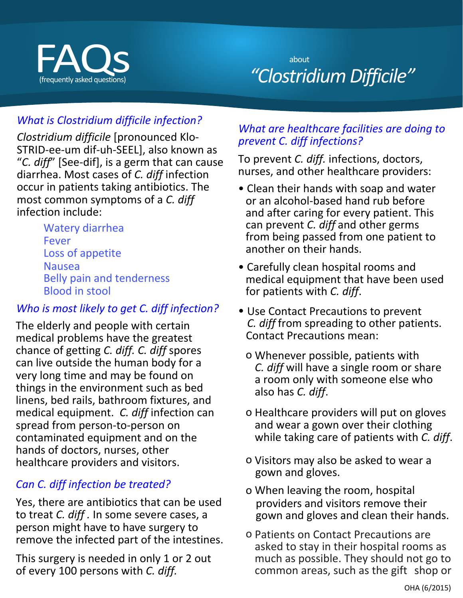

# (frequently asked questions) *"Clostridium Difficile"*  about

# *What is Clostridium difficile infection?*

*Clostridium difficile* [pronounced Klo-STRID-ee-um dif-uh-SEEL], also known as "*C. diff*" [See-dif], is a germ that can cause diarrhea. Most cases of *C. diff* infection occur in patients taking antibiotics. The most common symptoms of a *C. diff* infection include:

> Watery diarrhea Fever Loss of appetite Nausea Belly pain and tenderness Blood in stool

#### *Who is most likely to get C. diff infection?*

The elderly and people with certain medical problems have the greatest chance of getting *C. diff. C. diff* spores can live outside the human body for a very long time and may be found on things in the environment such as bed linens, bed rails, bathroom fixtures, and medical equipment. *C. diff* infection can spread from person-to-person on contaminated equipment and on the hands of doctors, nurses, other healthcare providers and visitors.

## *Can C. diff infection be treated?*

Yes, there are antibiotics that can be used to treat *C. diff .* In some severe cases, a person might have to have surgery to remove the infected part of the intestines.

This surgery is needed in only 1 or 2 out of every 100 persons with *C. diff.* 

#### *What are healthcare facilities are doing to prevent C. diff infections?*

To prevent *C. diff.* infections, doctors, nurses, and other healthcare providers:

- Clean their hands with soap and water or an alcohol-based hand rub before and after caring for every patient. This can prevent *C. diff* and other germs from being passed from one patient to another on their hands.
- Carefully clean hospital rooms and medical equipment that have been used for patients with *C. diff*.
- Use Contact Precautions to prevent *C. diff* from spreading to other patients. Contact Precautions mean:
	- o Whenever possible, patients with *C. diff* will have a single room or share a room only with someone else who also has *C. diff*.
	- o Healthcare providers will put on gloves and wear a gown over their clothing while taking care of patients with *C. diff*.
	- o Visitors may also be asked to wear a gown and gloves.
	- o When leaving the room, hospital providers and visitors remove their gown and gloves and clean their hands.
	- o Patients on Contact Precautions are asked to stay in their hospital rooms as much as possible. They should not go to common areas, such as the gift shop or